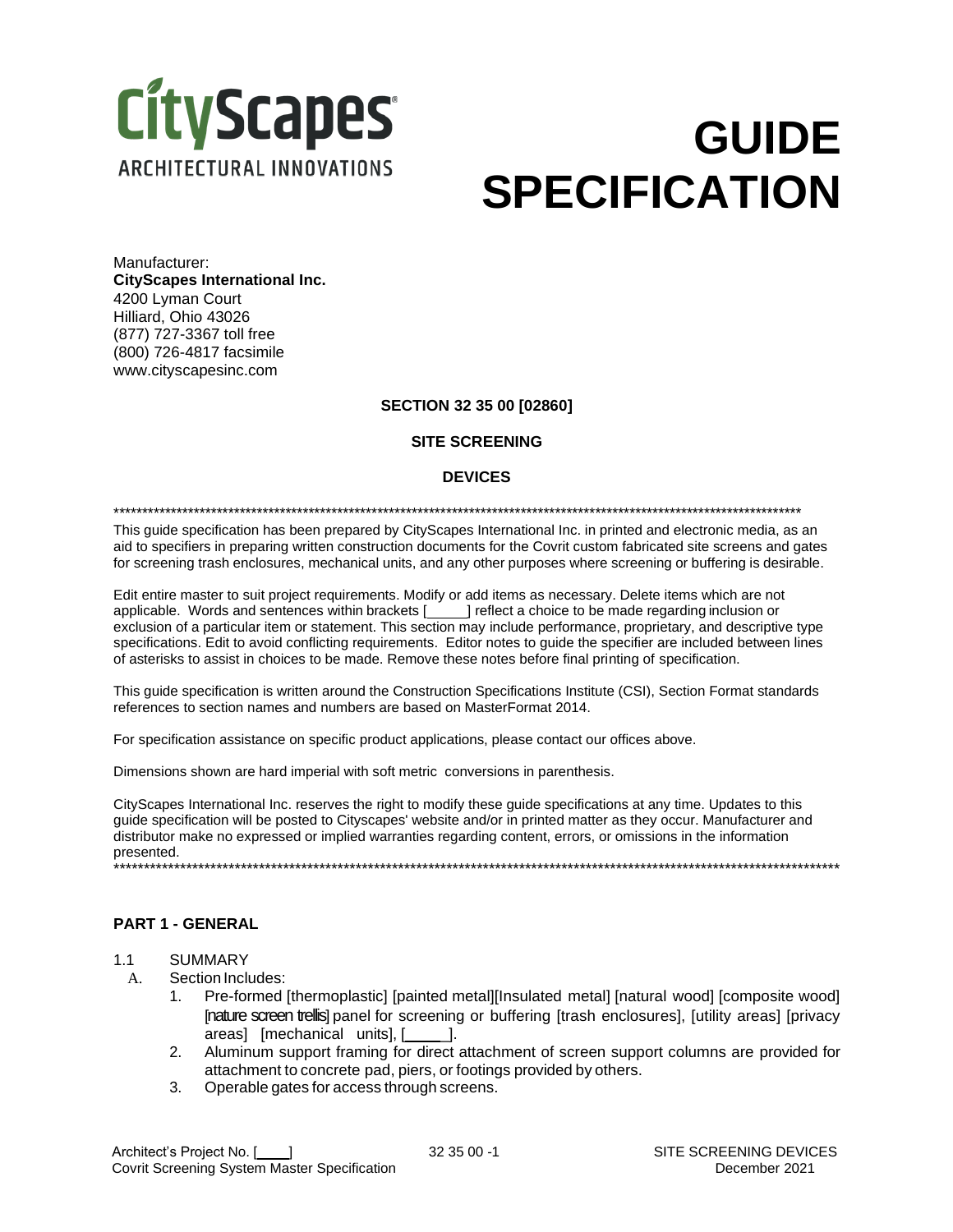

# **GUIDE SPECIFICATION**

Manufacturer: **CityScapes International Inc.** 4200 Lyman Court Hilliard, Ohio 43026 (877) 727-3367 toll free (800) 726-4817 facsimile [www.cityscapesinc.com](http://www.cityscapesinc.com/)

#### **SECTION 32 35 00 [02860]**

## **SITE SCREENING**

#### **DEVICES**

\*\*\*\*\*\*\*\*\*\*\*\*\*\*\*\*\*\*\*\*\*\*\*\*\*\*\*\*\*\*\*\*\*\*\*\*\*\*\*\*\*\*\*\*\*\*\*\*\*\*\*\*\*\*\*\*\*\*\*\*\*\*\*\*\*\*\*\*\*\*\*\*\*\*\*\*\*\*\*\*\*\*\*\*\*\*\*\*\*\*\*\*\*\*\*\*\*\*\*\*\*\*\*\*\*\*\*\*\*\*\*\*\*\*\*\*\*\*\*\*

This guide specification has been prepared by CityScapes International Inc. in printed and electronic media, as an aid to specifiers in preparing written construction documents for the Covrit custom fabricated site screens and gates for screening trash enclosures, mechanical units, and any other purposes where screening or buffering is desirable.

Edit entire master to suit project requirements. Modify or add items as necessary. Delete items which are not applicable. Words and sentences within brackets [**indclearely reflect a choice to be made regarding inclusion or** exclusion of a particular item or statement. This section may include performance, proprietary, and descriptive type specifications. Edit to avoid conflicting requirements. Editor notes to guide the specifier are included between lines of asterisks to assist in choices to be made. Remove these notes before final printing of specification.

This guide specification is written around the Construction Specifications Institute (CSI), Section Format standards references to section names and numbers are based on MasterFormat 2014.

For specification assistance on specific product applications, please contact our offices above.

Dimensions shown are hard imperial with soft metric conversions in parenthesis.

CityScapes International Inc. reserves the right to modify these guide specifications at any time. Updates to this guide specification will be posted to Cityscapes' website and/or in printed matter as they occur. Manufacturer and distributor make no expressed or implied warranties regarding content, errors, or omissions in the information presented. \*\*\*\*\*\*\*\*\*\*\*\*\*\*\*\*\*\*\*\*\*\*\*\*\*\*\*\*\*\*\*\*\*\*\*\*\*\*\*\*\*\*\*\*\*\*\*\*\*\*\*\*\*\*\*\*\*\*\*\*\*\*\*\*\*\*\*\*\*\*\*\*\*\*\*\*\*\*\*\*\*\*\*\*\*\*\*\*\*\*\*\*\*\*\*\*\*\*\*\*\*\*\*\*\*\*\*\*\*\*\*\*\*\*\*\*\*\*\*\*

## **PART 1 - GENERAL**

- 1.1 SUMMARY
	- A. Section Includes:
		- 1. Pre-formed [thermoplastic] [painted metal][Insulated metal] [natural wood] [composite wood] [nature screen trellis] panel for screening or buffering [trash enclosures], [utility areas] [privacy areas] [mechanical units], [ \_\_\_ ].
		- 2. Aluminum support framing for direct attachment of screen support columns are provided for attachment to concrete pad, piers, or footings provided by others.
		- 3. Operable gates for access through screens.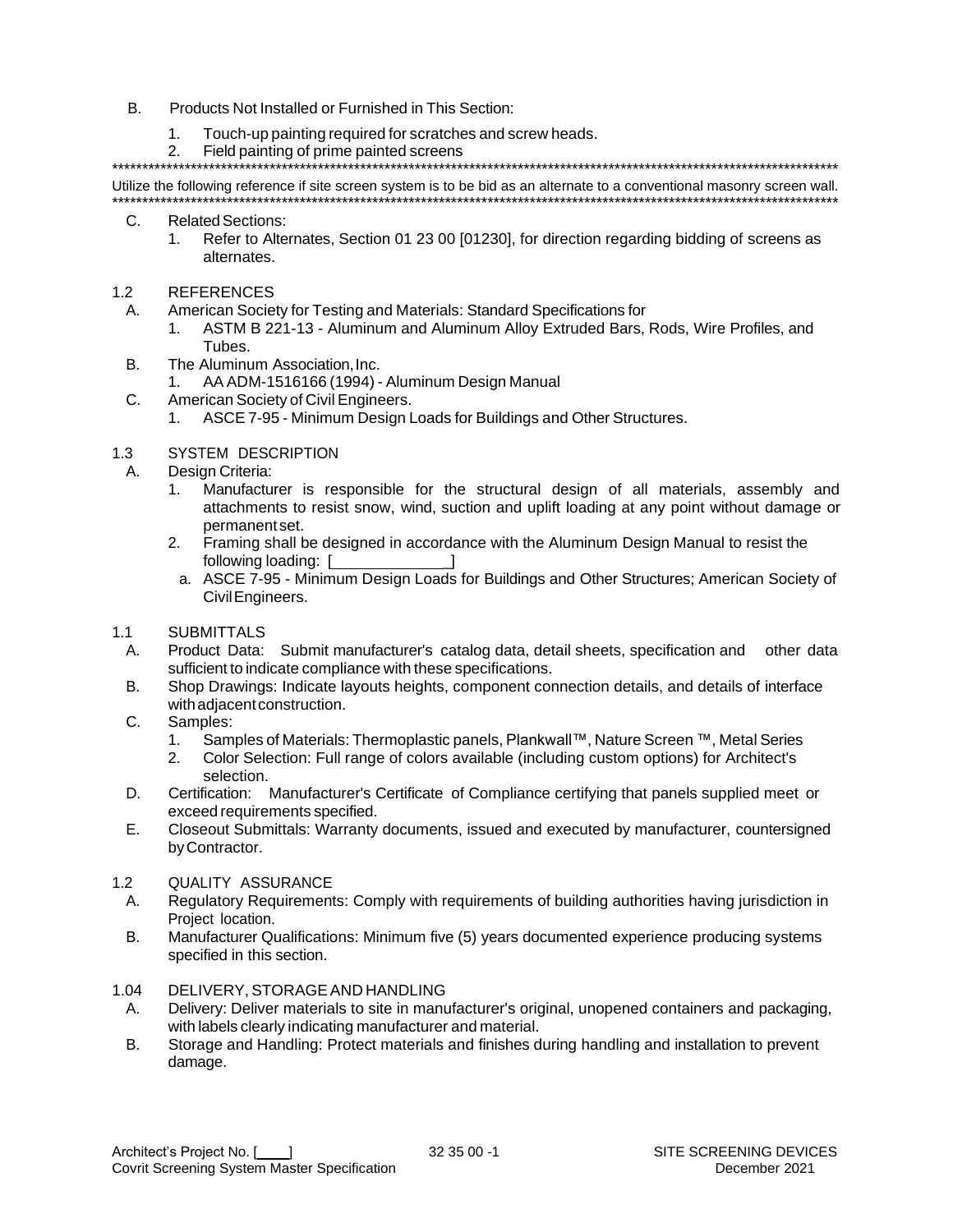- B. Products Not Installed or Furnished in This Section:
	- $1<sup>1</sup>$ Touch-up painting required for scratches and screw heads.
	- $2.$ Field painting of prime painted screens

Utilize the following reference if site screen system is to be bid as an alternate to a conventional masonry screen wall.

- $C_{1}$ **Related Sections:** 
	- $1<sup>1</sup>$ Refer to Alternates, Section 01 23 00 [01230], for direction regarding bidding of screens as alternates.
- **REFERENCES**  $1.2$ 
	- American Society for Testing and Materials: Standard Specifications for А.
		- ASTM B 221-13 Aluminum and Aluminum Alloy Extruded Bars, Rods, Wire Profiles, and  $1_{-}$ Tubes
	- The Aluminum Association. Inc. **B.** 
		- $1<sub>1</sub>$ AA ADM-1516166 (1994) - Aluminum Design Manual
	- C. American Society of Civil Engineers.
		- ASCE 7-95 Minimum Design Loads for Buildings and Other Structures.  $1<sub>1</sub>$

#### $1.3$ SYSTEM DESCRIPTION

- Design Criteria: Α.
	- $1<sub>1</sub>$ Manufacturer is responsible for the structural design of all materials, assembly and attachments to resist snow, wind, suction and uplift loading at any point without damage or permanent set.
	- Framing shall be designed in accordance with the Aluminum Design Manual to resist the  $2<sup>1</sup>$ following loading: [
	- a. ASCE 7-95 Minimum Design Loads for Buildings and Other Structures; American Society of Civil Engineers.

#### $1.1$ **SUBMITTALS**

- Product Data: Submit manufacturer's catalog data, detail sheets, specification and other data А. sufficient to indicate compliance with these specifications.
- **B.** Shop Drawings: Indicate layouts heights, component connection details, and details of interface with adiacent construction.
- $C_{1}$ Samples:
	- $1<sub>1</sub>$ Samples of Materials: Thermoplastic panels, Plankwall™, Nature Screen ™, Metal Series
	- $2<sub>1</sub>$ Color Selection: Full range of colors available (including custom options) for Architect's selection.
- D. Certification: Manufacturer's Certificate of Compliance certifying that panels supplied meet or exceed requirements specified.
- E. Closeout Submittals: Warranty documents, issued and executed by manufacturer, countersigned by Contractor.
- $1.2$ QUALITY ASSURANCE
	- Regulatory Requirements: Comply with requirements of building authorities having jurisdiction in А. Project location.
	- **B.** Manufacturer Qualifications: Minimum five (5) years documented experience producing systems specified in this section.

#### $1.04$ DELIVERY, STORAGE AND HANDLING

- А. Delivery: Deliver materials to site in manufacturer's original, unopened containers and packaging, with labels clearly indicating manufacturer and material.
- **B.** Storage and Handling: Protect materials and finishes during handling and installation to prevent damage.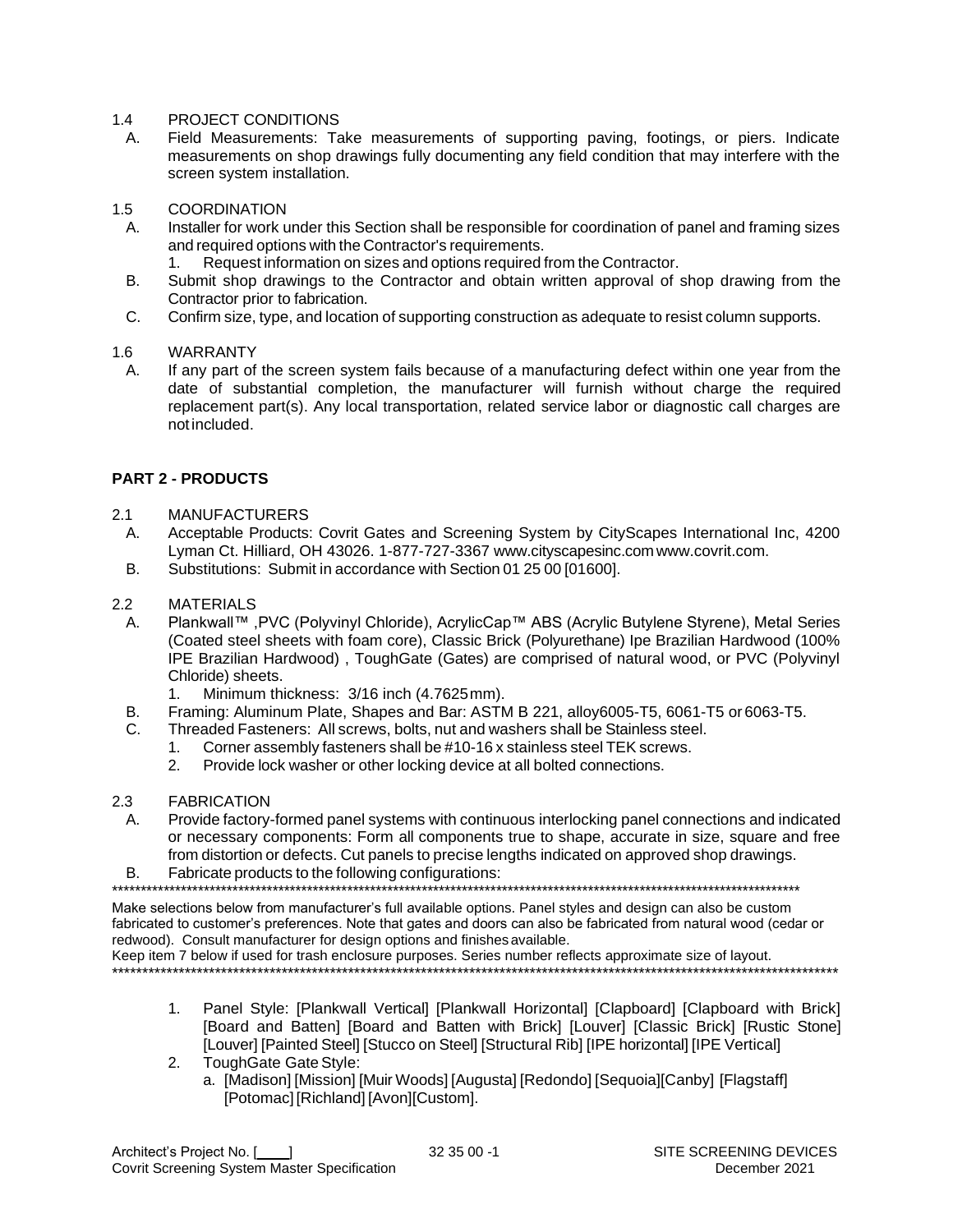## 1.4 PROJECT CONDITIONS

- A. Field Measurements: Take measurements of supporting paving, footings, or piers. Indicate measurements on shop drawings fully documenting any field condition that may interfere with the screen system installation.
- 1.5 COORDINATION
	- A. Installer for work under this Section shall be responsible for coordination of panel and framing sizes and required options with the Contractor's requirements.
		- 1. Request information on sizes and options required from the Contractor.
	- B. Submit shop drawings to the Contractor and obtain written approval of shop drawing from the Contractor prior to fabrication.
	- C. Confirm size, type, and location of supporting construction as adequate to resist column supports.

## 1.6 WARRANTY

A. If any part of the screen system fails because of a manufacturing defect within one year from the date of substantial completion, the manufacturer will furnish without charge the required replacement part(s). Any local transportation, related service labor or diagnostic call charges are notincluded.

## **PART 2 - PRODUCTS**

- 2.1 MANUFACTURERS
- A. Acceptable Products: Covrit Gates and Screening System by CityScapes International Inc, 4200 Lyman Ct. Hilliard, OH 43026. 1-877-727-3367 [www.cityscapesinc.com](http://www.cityscapesinc.com/) [www.covrit.com.](http://www.covrit.com/)
- B. Substitutions: Submit in accordance with Section 01 25 00 [01600].

## 2.2 MATERIALS

- A. Plankwall™ ,PVC (Polyvinyl Chloride), AcrylicCap™ ABS (Acrylic Butylene Styrene), Metal Series (Coated steel sheets with foam core), Classic Brick (Polyurethane) Ipe Brazilian Hardwood (100% IPE Brazilian Hardwood) , ToughGate (Gates) are comprised of natural wood, or PVC (Polyvinyl Chloride) sheets.
	- 1. Minimum thickness: 3/16 inch (4.7625mm).
- B. Framing: Aluminum Plate, Shapes and Bar: ASTM B 221, alloy6005-T5, 6061-T5 or 6063-T5.
- C. Threaded Fasteners: All screws, bolts, nut and washers shall be Stainless steel.
	- 1. Corner assembly fasteners shall be #10-16 x stainless steel TEK screws.
	- 2. Provide lock washer or other locking device at all bolted connections.
- 2.3 FABRICATION
	- A. Provide factory-formed panel systems with continuous interlocking panel connections and indicated or necessary components: Form all components true to shape, accurate in size, square and free from distortion or defects. Cut panels to precise lengths indicated on approved shop drawings.
- B. Fabricate products to the following configurations:

\*\*\*\*\*\*\*\*\*\*\*\*\*\*\*\*\*\*\*\*\*\*\*\*\*\*\*\*\*\*\*\*\*\*\*\*\*\*\*\*\*\*\*\*\*\*\*\*\*\*\*\*\*\*\*\*\*\*\*\*\*\*\*\*\*\*\*\*\*\*\*\*\*\*\*\*\*\*\*\*\*\*\*\*\*\*\*\*\*\*\*\*\*\*\*\*\*\*\*\*\*\*\*\*\*\*\*\*\*\*\*\*\*\*\*\*\*\*\*\*

Make selections below from manufacturer's full available options. Panel styles and design can also be custom fabricated to customer's preferences. Note that gates and doors can also be fabricated from natural wood (cedar or redwood). Consult manufacturer for design options and finishes available.

Keep item 7 below if used for trash enclosure purposes. Series number reflects approximate size of layout. \*\*\*\*\*\*\*\*\*\*\*\*\*\*\*\*\*\*\*\*\*\*\*\*\*\*\*\*\*\*\*\*\*\*\*\*\*\*\*\*\*\*\*\*\*\*\*\*\*\*\*\*\*\*\*\*\*\*\*\*\*\*\*\*\*\*\*\*\*\*\*\*\*\*\*\*\*\*\*\*\*\*\*\*\*\*\*\*\*\*\*\*\*\*\*\*\*\*\*\*\*\*\*\*\*\*\*\*\*\*\*\*\*\*\*\*\*\*\*\*

- 1. Panel Style: [Plankwall Vertical] [Plankwall Horizontal] [Clapboard] [Clapboard with Brick] [Board and Batten] [Board and Batten with Brick] [Louver] [Classic Brick] [Rustic Stone] [Louver] [Painted Steel] [Stucco on Steel] [Structural Rib] [IPE horizontal] [IPE Vertical]
- 2. ToughGate Gate Style:
	- a. [Madison] [Mission] [Muir Woods] [Augusta] [Redondo] [Sequoia][Canby] [Flagstaff] [Potomac] [Richland] [Avon][Custom].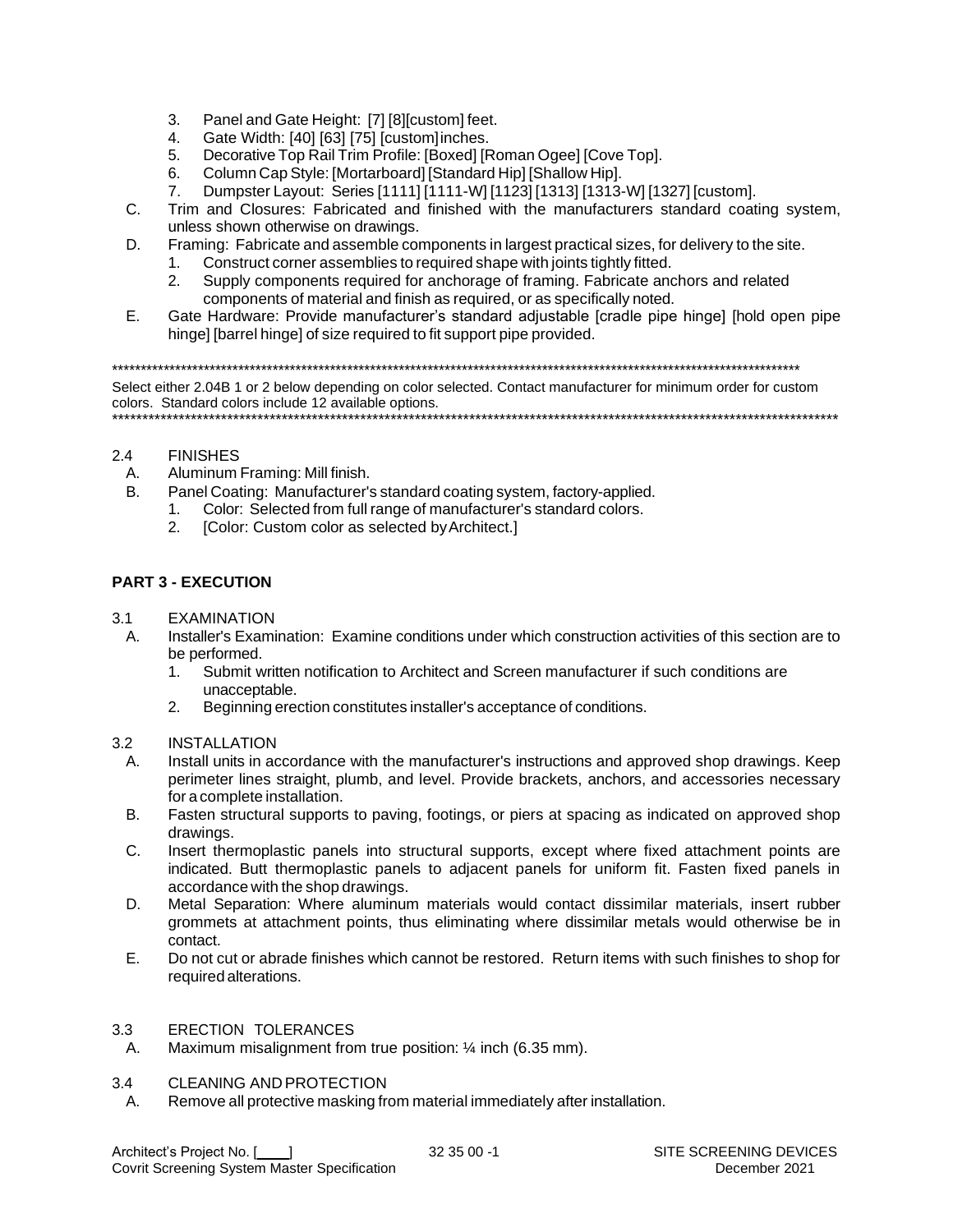- Panel and Gate Height: [7] [8][custom] feet.  $3.$
- Gate Width: [40] [63] [75] [custom]inches. 4.
- Decorative Top Rail Trim Profile: [Boxed] [Roman Ogee] [Cove Top]. 5.
- Column Cap Style: [Mortarboard] [Standard Hip] [Shallow Hip]. 6.
- Dumpster Layout: Series [1111] [1111-W] [1123] [1313] [1313-W] [1327] [custom].  $7<sub>1</sub>$
- $C_{\cdot}$ Trim and Closures: Fabricated and finished with the manufacturers standard coating system. unless shown otherwise on drawings.
- D. Framing: Fabricate and assemble components in largest practical sizes, for delivery to the site.
	- Construct corner assemblies to required shape with joints tightly fitted.  $1<sub>1</sub>$
	- $2<sup>1</sup>$ Supply components required for anchorage of framing. Fabricate anchors and related components of material and finish as required, or as specifically noted.
- $E_{\perp}$ Gate Hardware: Provide manufacturer's standard adjustable [cradle pipe hinge] [hold open pipe hinge] [barrel hinge] of size required to fit support pipe provided.

Select either 2.04B 1 or 2 below depending on color selected. Contact manufacturer for minimum order for custom colors. Standard colors include 12 available options. 

#### $2.4$ **FINISHES**

**B**.

- Aluminum Framing: Mill finish.  $A_{1}$ 
	- Panel Coating: Manufacturer's standard coating system, factory-applied.
		- Color: Selected from full range of manufacturer's standard colors.  $1 \quad$
		- [Color: Custom color as selected by Architect.]  $2.$

## **PART 3 - EXECUTION**

- $3<sub>1</sub>$ **FXAMINATION** 
	- Installer's Examination: Examine conditions under which construction activities of this section are to A. be performed.
		- Submit written notification to Architect and Screen manufacturer if such conditions are  $1.$ unacceptable.
		- Beginning erection constitutes installer's acceptance of conditions.  $2<sup>1</sup>$

#### $3.2$ **INSTALLATION**

- Install units in accordance with the manufacturer's instructions and approved shop drawings. Keep  $\mathsf{A}$ perimeter lines straight, plumb, and level. Provide brackets, anchors, and accessories necessary for a complete installation.
- **B.** Fasten structural supports to paving, footings, or piers at spacing as indicated on approved shop drawings.
- $C_{\cdot}$ Insert thermoplastic panels into structural supports, except where fixed attachment points are indicated. Butt thermoplastic panels to adjacent panels for uniform fit. Fasten fixed panels in accordance with the shop drawings.
- D. Metal Separation: Where aluminum materials would contact dissimilar materials, insert rubber grommets at attachment points, thus eliminating where dissimilar metals would otherwise be in contact.
- E. Do not cut or abrade finishes which cannot be restored. Return items with such finishes to shop for required alterations.

#### ERECTION TOLERANCES  $3.3$

Maximum misalignment from true position: 1/4 inch (6.35 mm). Α.

#### $3.4$ **CLEANING AND PROTECTION**

A. Remove all protective masking from material immediately after installation.